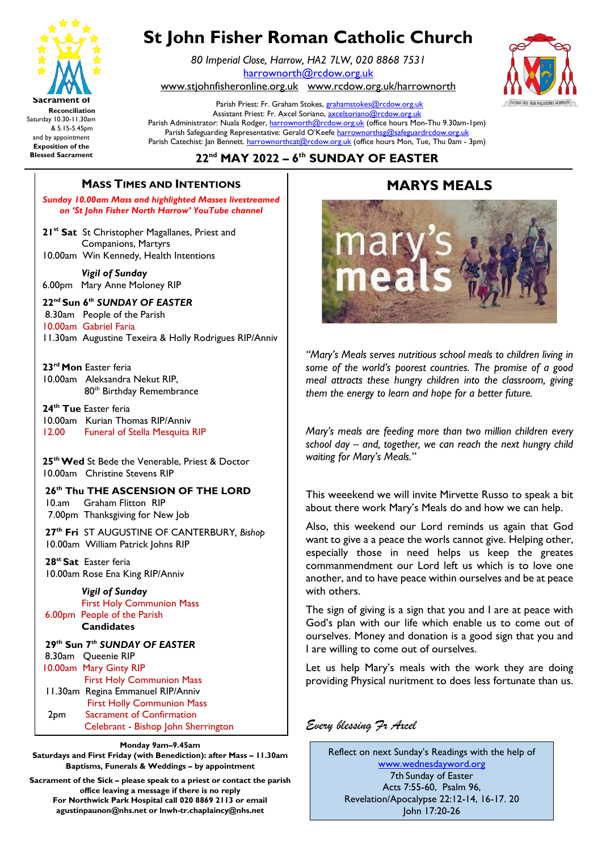

# **St John Fisher Roman Catholic Church**

*80 Imperial Close, Harrow, HA2 7LW, 020 8868 7531* [harrownorth@rcdow.org.uk](mailto:harrownorth@rcdow.org.uk)  [www.stjohnfisheronline.org.uk](http://www.stjohnfisheronline.org.uk/) www.rcdow.org.uk/harrownorth



Parish Priest: Fr. Graham Stokes[, grahamstokes@rcdow.org.uk](mailto:grahamstokes@rcdow.org.uk) Assistant Priest: Fr. Axcel Soriano[, axcelsoriano@rcdow.org.uk](mailto:axcelsoriano@rcdow.org.uk) Parish Administrator: Nuala Rodger[, harrownorth@rcdow.org.uk](mailto:harrownorth@rcdow.org.uk) (office hours Mon-Thu 9.30am-1pm) Parish Safeguarding Representative: Gerald O'Keefe [harrownorthsg@safeguardrcdow.org.uk](mailto:harrownorthsg@safeguardrcdow.org.uk) Parish Catechist: Jan Bennett. [harrownorthcat@rcdow.org.uk](mailto:harrownorthcat@rcdow.org.uk) (office hours Mon, Tue, Thu 0am - 3pm)

**22nd MAY 2022 – 6 th SUNDAY OF EASTER** 

# **MASS TIMES AND INTENTIONS**

**bunday** *other Mass and inginighted Masses investredined*<br> **points the page on the page of the page of the page of the page of the page of the page of the page of the page of the page of the page of the page of the page** 

21<sup>st</sup> Sat St Christopher Magallanes, Priest and **All and St Christopher Magallanes**, Priest and Companions, Martyrs 10.00am Win Kennedy, Health Intentions

 *Vigil of Sunday*  6.00pm Mary Anne Moloney RIP

**22nd Sun 6** *th SUNDAY OF EASTER* 8.30am People of the Parish 10.00am Gabriel Faria

11.30am Augustine Texeira & Holly Rodrigues RIP/Anniv

**23rd Mon** Easter feria 10.00am Aleksandra Nekut RIP, 80<sup>th</sup> Birthday Remembrance

**24th Tue** Easter feria 10.00am Kurian Thomas RIP/Anniv 12.00 Funeral of Stella Mesquita RIP

**25thWed** St Bede the Venerable, Priest & Doctor 10.00am Christine Stevens RIP

## **26th Thu THE ASCENSION OF THE LORD**

10.amGraham Flitton RIP 7.00pm Thanksgiving for New Job

**27th Fri** ST AUGUSTINE OF CANTERBURY*, Bishop* 10.00am William Patrick Johns RIP

**28st Sat** Easter feria 10.00am Rose Ena King RIP/Anniv

 *Vigil of Sunday* **First Holy Communion Mass** 6.00pm People of the Parish  **Candidates**

**29th Sun 7** *th SUNDAY OF EASTER* 8.30am Queenie RIP 10.00am Mary Ginty RIP First Holy Communion Mass 11.30am Regina Emmanuel RIP/Anniv First Holly Communion Mass 2pm Sacrament of Confirmation Celebrant - Bishop John Sherrington

Ī

**Monday 9am–9.45am**

**Saturdays and First Friday (with Benediction): after Mass – 11.30am Baptisms, Funerals & Weddings – by appointment** 

**Sacrament of the Sick – please speak to a priest or contact the parish office leaving a message if there is no reply For Northwick Park Hospital call 020 8869 2113 or email agustinpaunon@nhs.net or lnwh-tr.chaplaincy@nhs.net**

#### **MARYS MEALS \_\_\_\_\_\_\_\_\_\_\_\_\_\_\_\_\_\_\_\_\_\_\_\_\_\_\_\_\_\_\_\_\_\_\_\_\_\_\_\_\_\_\_\_\_\_\_\_\_\_\_\_\_\_\_\_\_\_\_\_\_\_\_\_\_\_\_\_\_\_\_\_\_\_\_\_\_\_\_\_\_\_\_\_\_\_\_\_\_\_\_\_\_\_\_\_\_\_\_\_\_\_\_\_\_\_\_\_\_\_\_\_\_\_\_\_\_\_\_\_\_\_\_\_\_\_\_\_\_\_\_\_\_\_\_\_\_\_\_\_\_\_\_\_\_\_\_\_\_\_\_\_\_\_\_\_\_\_\_\_\_**  $\blacksquare$



*"Mary's Meals serves nutritious school meals to children living in some of the world's poorest countries. The promise of a good meal attracts these hungry children into the classroom, giving them the energy to learn and hope for a better future.*

*Mary's meals are feeding more than two million children every school day – and, together, we can reach the next hungry child waiting for Mary's Meals."*

This weeekend we will invite Mirvette Russo to speak a bit about there work Mary's Meals do and how we can help.

Also, this weekend our Lord reminds us again that God want to give a a peace the worls cannot give. Helping other, especially those in need helps us keep the greates commanmendment our Lord left us which is to love one another, and to have peace within ourselves and be at peace with others.

The sign of giving is a sign that you and I are at peace with God's plan with our life which enable us to come out of ourselves. Money and donation is a good sign that you and I are willing to come out of ourselves.

Let us help Mary's meals with the work they are doing providing Physical nuritment to does less fortunate than us.

## *Every blessing Fr Axcel*

Reflect on next Sunday's Readings with the help of [www.wednesdayword.org](http://www.wednesdayword.org/) 7th Sunday of Easter Acts 7:55-60, Psalm 96, Revelation/Apocalypse 22:12-14, 16-17. 20 John 17:20-26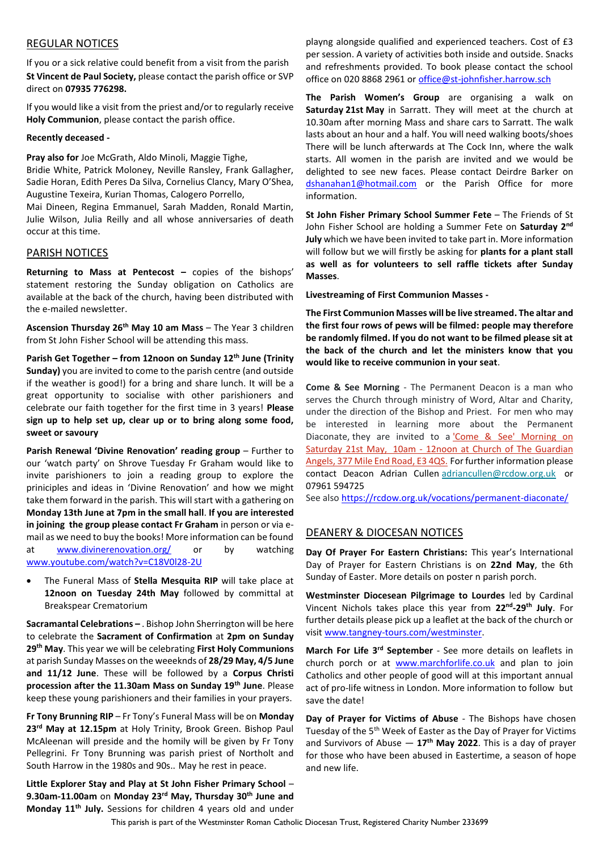#### REGULAR NOTICES

If you or a sick relative could benefit from a visit from the parish **St Vincent de Paul Society,** please contact the parish office or SVP direct on **07935 776298.**

If you would like a visit from the priest and/or to regularly receive **Holy Communion**, please contact the parish office.

#### **Recently deceased -**

**Pray also for** Joe McGrath, Aldo Minoli, Maggie Tighe,

Bridie White, Patrick Moloney, Neville Ransley, Frank Gallagher, Sadie Horan, Edith Peres Da Silva, Cornelius Clancy, Mary O'Shea, Augustine Texeira, Kurian Thomas, Calogero Porrello,

Mai Dineen, Regina Emmanuel, Sarah Madden, Ronald Martin, Julie Wilson, Julia Reilly and all whose anniversaries of death occur at this time.

#### PARISH NOTICES

**Returning to Mass at Pentecost - copies of the bishops'** statement restoring the Sunday obligation on Catholics are available at the back of the church, having been distributed with the e-mailed newsletter.

**Ascension Thursday 26th May 10 am Mass** – The Year 3 children from St John Fisher School will be attending this mass.

**Parish Get Together – from 12noon on Sunday 12th June (Trinity Sunday)** you are invited to come to the parish centre (and outside if the weather is good!) for a bring and share lunch. It will be a great opportunity to socialise with other parishioners and celebrate our faith together for the first time in 3 years! **Please sign up to help set up, clear up or to bring along some food, sweet or savoury**

**Parish Renewal 'Divine Renovation' reading group** – Further to our 'watch party' on Shrove Tuesday Fr Graham would like to invite parishioners to join a reading group to explore the priniciples and ideas in 'Divine Renovation' and how we might take them forward in the parish. This will start with a gathering on **Monday 13th June at 7pm in the small hall**. **If you are interested in joining the group please contact Fr Graham** in person or via email as we need to buy the books! More information can be found at [www.divinerenovation.org/](https://www.divinerenovation.org/) or by watching [www.youtube.com/watch?v=C18V0l28-2U](http://www.youtube.com/watch?v=C18V0l28-2U)

• The Funeral Mass of **Stella Mesquita RIP** will take place at **12noon on Tuesday 24th May** followed by committal at Breakspear Crematorium

**Sacramantal Celebrations –** . Bishop John Sherrington will be here to celebrate the **Sacrament of Confirmation** at **2pm on Sunday 29th May**. This year we will be celebrating **First Holy Communions** at parish Sunday Masses on the weeeknds of **28/29 May, 4/5 June and 11/12 June**. These will be followed by a **Corpus Christi procession after the 11.30am Mass on Sunday 19th June**. Please keep these young parishioners and their families in your prayers.

**Fr Tony Brunning RIP** – Fr Tony's Funeral Mass will be on **Monday 23rd May at 12.15pm** at Holy Trinity, Brook Green. Bishop Paul McAleenan will preside and the homily will be given by Fr Tony Pellegrini. Fr Tony Brunning was parish priest of Northolt and South Harrow in the 1980s and 90s.. May he rest in peace.

**Little Explorer Stay and Play at St John Fisher Primary School** – **9.30am-11.00am** on **Monday 23rd May, Thursday 30th June and Monday 11th July.** Sessions for children 4 years old and under

playng alongside qualified and experienced teachers. Cost of £3 per session. A variety of activities both inside and outside. Snacks and refreshments provided. To book please contact the school office on 020 8868 2961 or [office@st-johnfisher.harrow.sch](mailto:office@st-johnfisher.harrow.sch)

**The Parish Women's Group** are organising a walk on **Saturday 21st May** in Sarratt. They will meet at the church at 10.30am after morning Mass and share cars to Sarratt. The walk lasts about an hour and a half. You will need walking boots/shoes There will be lunch afterwards at The Cock Inn, where the walk starts. All women in the parish are invited and we would be delighted to see new faces. Please contact Deirdre Barker on [dshanahan1@hotmail.com](mailto:dshanahan1@hotmail.com) or the Parish Office for more information.

**St John Fisher Primary School Summer Fete** – The Friends of St John Fisher School are holding a Summer Fete on **Saturday 2nd July** which we have been invited to take part in. More information will follow but we will firstly be asking for **plants for a plant stall as well as for volunteers to sell raffle tickets after Sunday Masses**.

**Livestreaming of First Communion Masses -**

**The First Communion Masses will be live streamed. The altar and the first four rows of pews will be filmed: people may therefore be randomly filmed. If you do not want to be filmed please sit at the back of the church and let the ministers know that you would like to receive communion in your seat**.

**Come & See Morning** - The Permanent Deacon is a man who serves the Church through ministry of Word, Altar and Charity, under the direction of the Bishop and Priest. For men who may be interested in learning more about the Permanent Diaconate, they are invited to a 'Come & See' Morning on Saturday 21st May, 10am - 12noon at Church of The Guardian Angels, 377 Mile End Road, E3 4QS. For further information please contact Deacon Adrian Cullen [adriancullen@rcdow.org.uk](mailto:adriancullen@rcdow.org.uk) or 07961 594725

See also <https://rcdow.org.uk/vocations/permanent-diaconate/>

### DEANERY & DIOCESAN NOTICES

**Day Of Prayer For Eastern Christians:** This year's International Day of Prayer for Eastern Christians is on **22nd May**, the 6th Sunday of Easter. More details on poster n parish porch.

**Westminster Diocesean Pilgrimage to Lourdes** led by Cardinal Vincent Nichols takes place this year from **22nd -29th July**. For further details please pick up a leaflet at the back of the church or visit [www.tangney-tours.com/westminster.](http://www.tangney-tours.com/westminster)

**March For Life 3rd September** - See more details on leaflets in church porch or at [www.marchforlife.co.uk](http://www.marchforlife.co.uk/) and plan to join Catholics and other people of good will at this important annual act of pro-life witness in London. More information to follow but save the date!

**Day of Prayer for Victims of Abuse** - The Bishops have chosen Tuesday of the 5<sup>th</sup> Week of Easter as the Day of Prayer for Victims and Survivors of Abuse — **17th May 2022**. This is a day of prayer for those who have been abused in Eastertime, a season of hope and new life.